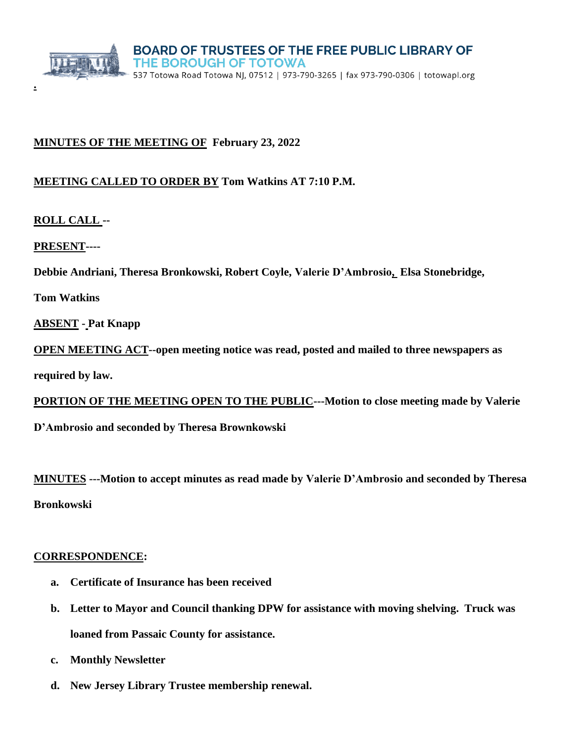

## **MINUTES OF THE MEETING OF February 23, 2022**

### **MEETING CALLED TO ORDER BY Tom Watkins AT 7:10 P.M.**

**ROLL CALL --**

**.**

**PRESENT----**

**Debbie Andriani, Theresa Bronkowski, Robert Coyle, Valerie D'Ambrosio, Elsa Stonebridge,**

**Tom Watkins** 

**ABSENT - Pat Knapp** 

**OPEN MEETING ACT--open meeting notice was read, posted and mailed to three newspapers as** 

**required by law.**

**PORTION OF THE MEETING OPEN TO THE PUBLIC---Motion to close meeting made by Valerie**

**D'Ambrosio and seconded by Theresa Brownkowski**

**MINUTES ---Motion to accept minutes as read made by Valerie D'Ambrosio and seconded by Theresa Bronkowski**

#### **CORRESPONDENCE:**

- **a. Certificate of Insurance has been received**
- **b. Letter to Mayor and Council thanking DPW for assistance with moving shelving. Truck was loaned from Passaic County for assistance.**
- **c. Monthly Newsletter**
- **d. New Jersey Library Trustee membership renewal.**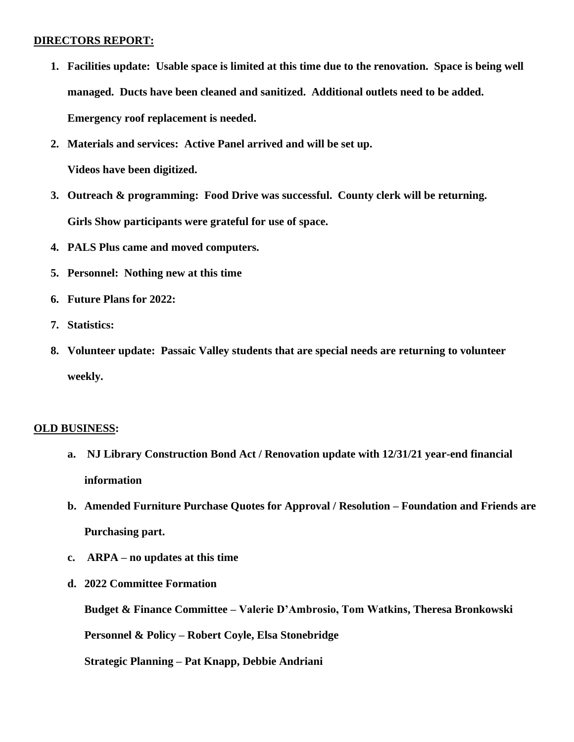#### **DIRECTORS REPORT:**

- **1. Facilities update: Usable space is limited at this time due to the renovation. Space is being well managed. Ducts have been cleaned and sanitized. Additional outlets need to be added. Emergency roof replacement is needed.**
- **2. Materials and services: Active Panel arrived and will be set up. Videos have been digitized.**
- **3. Outreach & programming: Food Drive was successful. County clerk will be returning. Girls Show participants were grateful for use of space.**
- **4. PALS Plus came and moved computers.**
- **5. Personnel: Nothing new at this time**
- **6. Future Plans for 2022:**
- **7. Statistics:**
- **8. Volunteer update: Passaic Valley students that are special needs are returning to volunteer weekly.**

#### **OLD BUSINESS:**

- **a. NJ Library Construction Bond Act / Renovation update with 12/31/21 year-end financial information**
- **b. Amended Furniture Purchase Quotes for Approval / Resolution – Foundation and Friends are Purchasing part.**
- **c. ARPA – no updates at this time**
- **d. 2022 Committee Formation**

**Budget & Finance Committee – Valerie D'Ambrosio, Tom Watkins, Theresa Bronkowski**

**Personnel & Policy – Robert Coyle, Elsa Stonebridge**

**Strategic Planning – Pat Knapp, Debbie Andriani**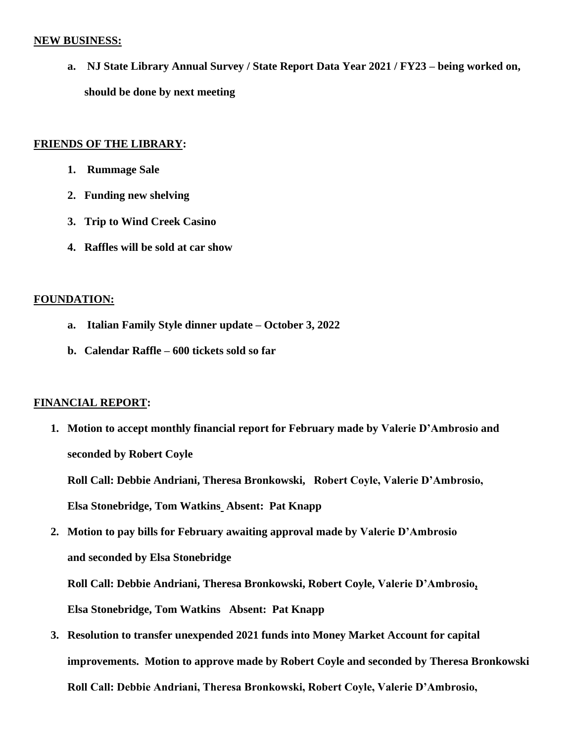#### **NEW BUSINESS:**

**a. NJ State Library Annual Survey / State Report Data Year 2021 / FY23 – being worked on, should be done by next meeting**

#### **FRIENDS OF THE LIBRARY:**

- **1. Rummage Sale**
- **2. Funding new shelving**
- **3. Trip to Wind Creek Casino**
- **4. Raffles will be sold at car show**

## **FOUNDATION:**

- **a. Italian Family Style dinner update – October 3, 2022**
- **b. Calendar Raffle – 600 tickets sold so far**

# **FINANCIAL REPORT:**

**1. Motion to accept monthly financial report for February made by Valerie D'Ambrosio and seconded by Robert Coyle**

**Roll Call: Debbie Andriani, Theresa Bronkowski, Robert Coyle, Valerie D'Ambrosio, Elsa Stonebridge, Tom Watkins Absent: Pat Knapp**

**2. Motion to pay bills for February awaiting approval made by Valerie D'Ambrosio and seconded by Elsa Stonebridge**

**Roll Call: Debbie Andriani, Theresa Bronkowski, Robert Coyle, Valerie D'Ambrosio, Elsa Stonebridge, Tom Watkins Absent: Pat Knapp**

**3. Resolution to transfer unexpended 2021 funds into Money Market Account for capital improvements. Motion to approve made by Robert Coyle and seconded by Theresa Bronkowski Roll Call: Debbie Andriani, Theresa Bronkowski, Robert Coyle, Valerie D'Ambrosio,**